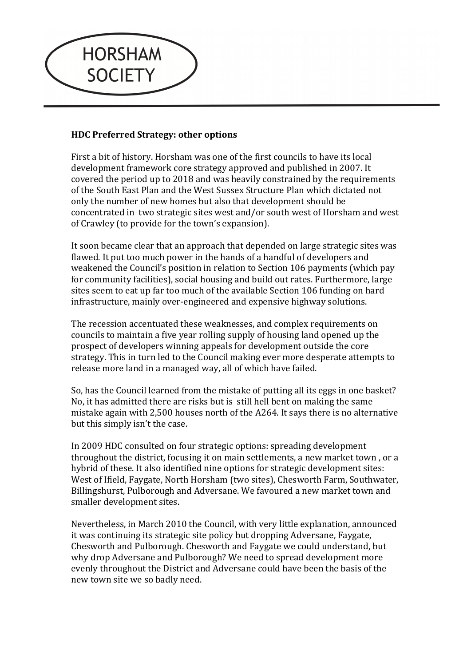

## **HDC Preferred Strategy: other options**

First a bit of history. Horsham was one of the first councils to have its local development framework core strategy approved and published in 2007. It covered the period up to 2018 and was heavily constrained by the requirements of the South East Plan and the West Sussex Structure Plan which dictated not only the number of new homes but also that development should be concentrated in two strategic sites west and/or south west of Horsham and west of Crawley (to provide for the town's expansion).

It soon became clear that an approach that depended on large strategic sites was flawed. It put too much power in the hands of a handful of developers and weakened the Council's position in relation to Section 106 payments (which pay for community facilities), social housing and build out rates. Furthermore, large sites seem to eat up far too much of the available Section 106 funding on hard infrastructure, mainly over-engineered and expensive highway solutions.

The recession accentuated these weaknesses, and complex requirements on councils to maintain a five year rolling supply of housing land opened up the prospect of developers winning appeals for development outside the core strategy. This in turn led to the Council making ever more desperate attempts to release more land in a managed way, all of which have failed.

So, has the Council learned from the mistake of putting all its eggs in one basket? No, it has admitted there are risks but is still hell bent on making the same mistake again with 2,500 houses north of the  $A264$ . It says there is no alternative but this simply isn't the case.

In 2009 HDC consulted on four strategic options: spreading development throughout the district, focusing it on main settlements, a new market town, or a hybrid of these. It also identified nine options for strategic development sites: West of Ifield, Faygate, North Horsham (two sites), Chesworth Farm, Southwater, Billingshurst, Pulborough and Adversane. We favoured a new market town and smaller development sites.

Nevertheless, in March 2010 the Council, with very little explanation, announced it was continuing its strategic site policy but dropping Adversane, Faygate, Chesworth and Pulborough. Chesworth and Faygate we could understand, but why drop Adversane and Pulborough? We need to spread development more evenly throughout the District and Adversane could have been the basis of the new town site we so badly need.